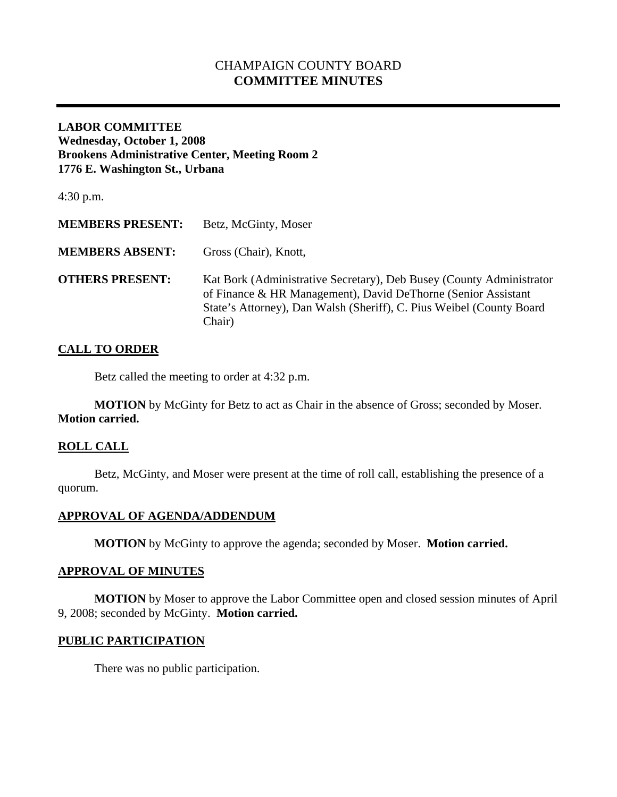# CHAMPAIGN COUNTY BOARD **COMMITTEE MINUTES**

### **LABOR COMMITTEE Wednesday, October 1, 2008 Brookens Administrative Center, Meeting Room 2 1776 E. Washington St., Urbana**

4:30 p.m.

| <b>MEMBERS PRESENT:</b> | Betz, McGinty, Moser                                                                                                                                                                                                    |
|-------------------------|-------------------------------------------------------------------------------------------------------------------------------------------------------------------------------------------------------------------------|
| <b>MEMBERS ABSENT:</b>  | Gross (Chair), Knott,                                                                                                                                                                                                   |
| <b>OTHERS PRESENT:</b>  | Kat Bork (Administrative Secretary), Deb Busey (County Administrator<br>of Finance & HR Management), David DeThorne (Senior Assistant<br>State's Attorney), Dan Walsh (Sheriff), C. Pius Weibel (County Board<br>Chair) |

# **CALL TO ORDER**

Betz called the meeting to order at 4:32 p.m.

**MOTION** by McGinty for Betz to act as Chair in the absence of Gross; seconded by Moser. **Motion carried.** 

# **ROLL CALL**

 Betz, McGinty, and Moser were present at the time of roll call, establishing the presence of a quorum.

#### **APPROVAL OF AGENDA/ADDENDUM**

 **MOTION** by McGinty to approve the agenda; seconded by Moser. **Motion carried.** 

#### **APPROVAL OF MINUTES**

 **MOTION** by Moser to approve the Labor Committee open and closed session minutes of April 9, 2008; seconded by McGinty. **Motion carried.** 

#### **PUBLIC PARTICIPATION**

There was no public participation.